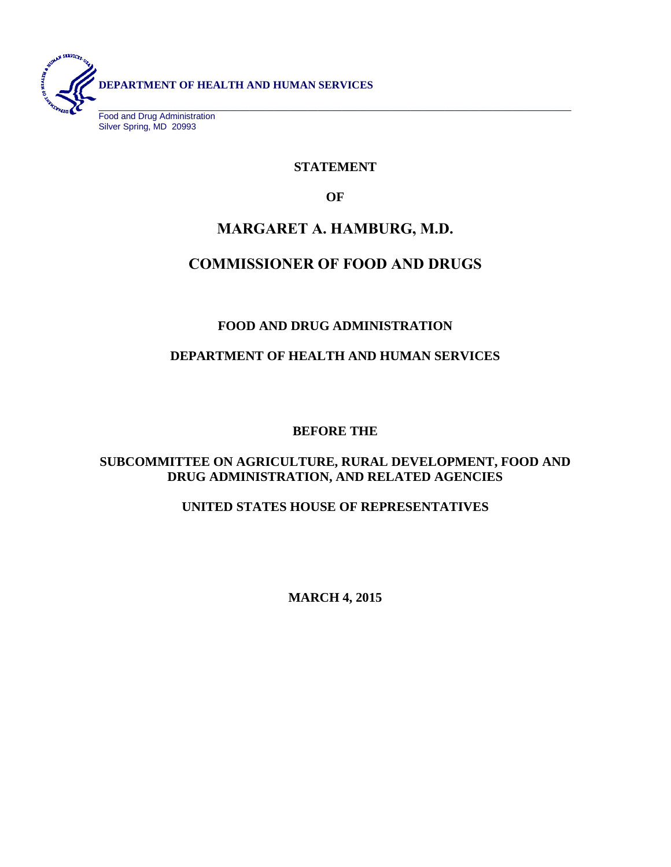

Food and Drug Administration Silver Spring, MD 20993

## **STATEMENT**

**OF**

# **MARGARET A. HAMBURG, M.D.**

# **COMMISSIONER OF FOOD AND DRUGS**

## **FOOD AND DRUG ADMINISTRATION**

## **DEPARTMENT OF HEALTH AND HUMAN SERVICES**

## **BEFORE THE**

## **SUBCOMMITTEE ON AGRICULTURE, RURAL DEVELOPMENT, FOOD AND DRUG ADMINISTRATION, AND RELATED AGENCIES**

## **UNITED STATES HOUSE OF REPRESENTATIVES**

**MARCH 4, 2015**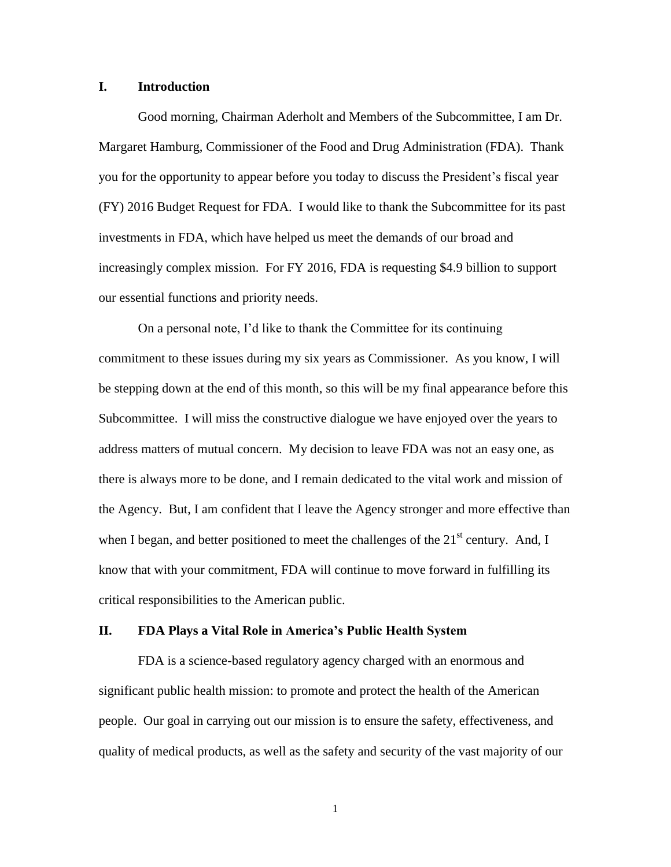#### **I. Introduction**

Good morning, Chairman Aderholt and Members of the Subcommittee, I am Dr. Margaret Hamburg, Commissioner of the Food and Drug Administration (FDA). Thank you for the opportunity to appear before you today to discuss the President's fiscal year (FY) 2016 Budget Request for FDA. I would like to thank the Subcommittee for its past investments in FDA, which have helped us meet the demands of our broad and increasingly complex mission. For FY 2016, FDA is requesting \$4.9 billion to support our essential functions and priority needs.

On a personal note, I'd like to thank the Committee for its continuing commitment to these issues during my six years as Commissioner. As you know, I will be stepping down at the end of this month, so this will be my final appearance before this Subcommittee. I will miss the constructive dialogue we have enjoyed over the years to address matters of mutual concern. My decision to leave FDA was not an easy one, as there is always more to be done, and I remain dedicated to the vital work and mission of the Agency. But, I am confident that I leave the Agency stronger and more effective than when I began, and better positioned to meet the challenges of the  $21<sup>st</sup>$  century. And, I know that with your commitment, FDA will continue to move forward in fulfilling its critical responsibilities to the American public.

#### **II. FDA Plays a Vital Role in America's Public Health System**

FDA is a science-based regulatory agency charged with an enormous and significant public health mission: to promote and protect the health of the American people. Our goal in carrying out our mission is to ensure the safety, effectiveness, and quality of medical products, as well as the safety and security of the vast majority of our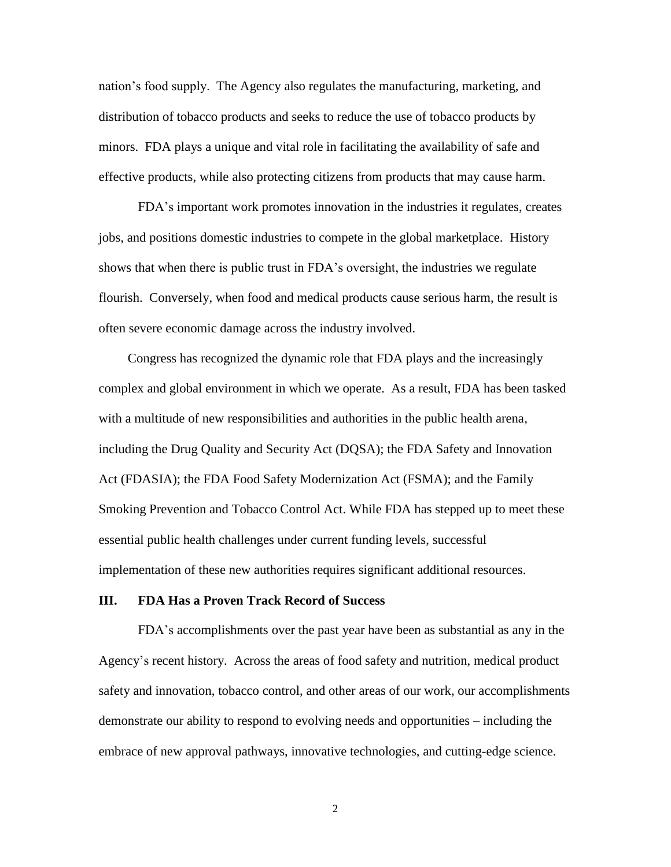nation's food supply. The Agency also regulates the manufacturing, marketing, and distribution of tobacco products and seeks to reduce the use of tobacco products by minors. FDA plays a unique and vital role in facilitating the availability of safe and effective products, while also protecting citizens from products that may cause harm.

FDA's important work promotes innovation in the industries it regulates, creates jobs, and positions domestic industries to compete in the global marketplace. History shows that when there is public trust in FDA's oversight, the industries we regulate flourish. Conversely, when food and medical products cause serious harm, the result is often severe economic damage across the industry involved.

Congress has recognized the dynamic role that FDA plays and the increasingly complex and global environment in which we operate. As a result, FDA has been tasked with a multitude of new responsibilities and authorities in the public health arena, including the Drug Quality and Security Act (DQSA); the FDA Safety and Innovation Act (FDASIA); the FDA Food Safety Modernization Act (FSMA); and the Family Smoking Prevention and Tobacco Control Act. While FDA has stepped up to meet these essential public health challenges under current funding levels, successful implementation of these new authorities requires significant additional resources.

#### **III. FDA Has a Proven Track Record of Success**

FDA's accomplishments over the past year have been as substantial as any in the Agency's recent history. Across the areas of food safety and nutrition, medical product safety and innovation, tobacco control, and other areas of our work, our accomplishments demonstrate our ability to respond to evolving needs and opportunities – including the embrace of new approval pathways, innovative technologies, and cutting-edge science.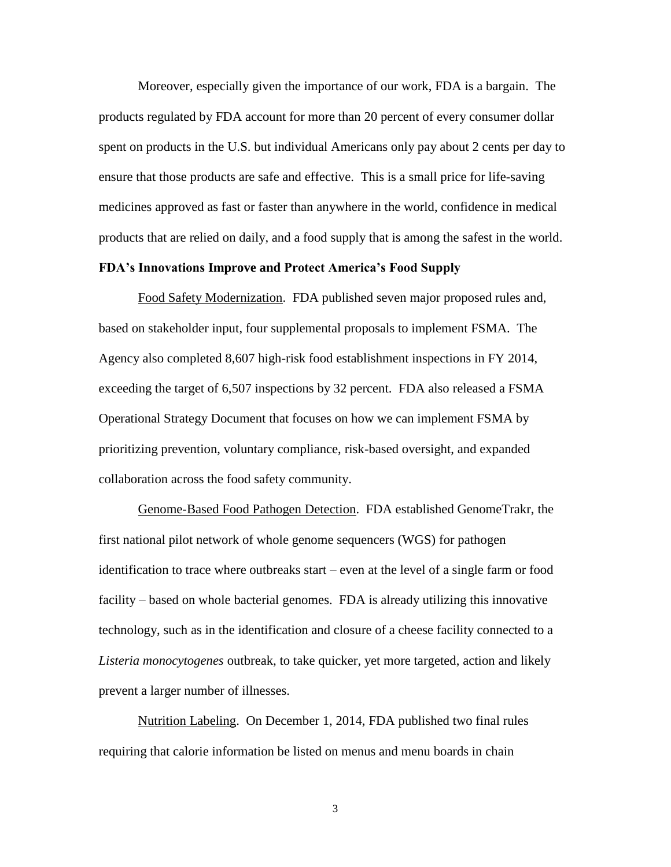Moreover, especially given the importance of our work, FDA is a bargain. The products regulated by FDA account for more than 20 percent of every consumer dollar spent on products in the U.S. but individual Americans only pay about 2 cents per day to ensure that those products are safe and effective. This is a small price for life-saving medicines approved as fast or faster than anywhere in the world, confidence in medical products that are relied on daily, and a food supply that is among the safest in the world.

#### **FDA's Innovations Improve and Protect America's Food Supply**

Food Safety Modernization.FDA published seven major proposed rules and, based on stakeholder input, four supplemental proposals to implement FSMA. The Agency also completed 8,607 high-risk food establishment inspections in FY 2014, exceeding the target of 6,507 inspections by 32 percent. FDA also released a FSMA Operational Strategy Document that focuses on how we can implement FSMA by prioritizing prevention, voluntary compliance, risk-based oversight, and expanded collaboration across the food safety community.

Genome-Based Food Pathogen Detection. FDA established GenomeTrakr, the first national pilot network of whole genome sequencers (WGS) for pathogen identification to trace where outbreaks start – even at the level of a single farm or food facility – based on whole bacterial genomes. FDA is already utilizing this innovative technology, such as in the identification and closure of a cheese facility connected to a *Listeria monocytogenes* outbreak, to take quicker, yet more targeted, action and likely prevent a larger number of illnesses.

Nutrition Labeling. On December 1, 2014, FDA published two final rules requiring that calorie information be listed on menus and menu boards in chain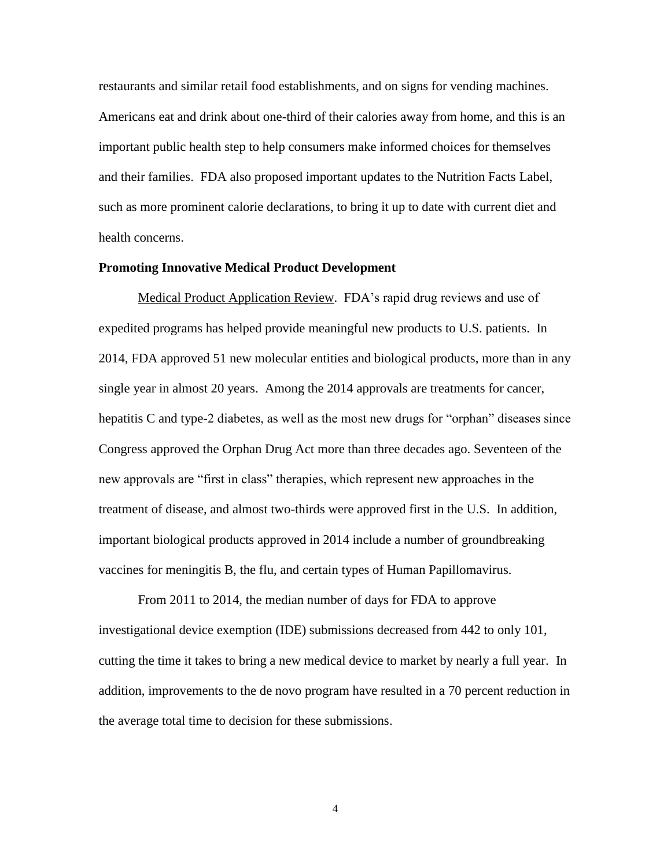restaurants and similar retail food establishments, and on signs for vending machines. Americans eat and drink about one-third of their calories away from home, and this is an important public health step to help consumers make informed choices for themselves and their families. FDA also proposed important updates to the Nutrition Facts Label, such as more prominent calorie declarations, to bring it up to date with current diet and health concerns.

#### **Promoting Innovative Medical Product Development**

Medical Product Application Review. FDA's rapid drug reviews and use of expedited programs has helped provide meaningful new products to U.S. patients. In 2014, FDA approved 51 new molecular entities and biological products, more than in any single year in almost 20 years. Among the 2014 approvals are treatments for cancer, hepatitis C and type-2 diabetes, as well as the most new drugs for "orphan" diseases since Congress approved the Orphan Drug Act more than three decades ago. Seventeen of the new approvals are "first in class" therapies, which represent new approaches in the treatment of disease, and almost two-thirds were approved first in the U.S. In addition, important biological products approved in 2014 include a number of groundbreaking vaccines for meningitis B, the flu, and certain types of Human Papillomavirus.

From 2011 to 2014, the median number of days for FDA to approve investigational device exemption (IDE) submissions decreased from 442 to only 101, cutting the time it takes to bring a new medical device to market by nearly a full year. In addition, improvements to the de novo program have resulted in a 70 percent reduction in the average total time to decision for these submissions.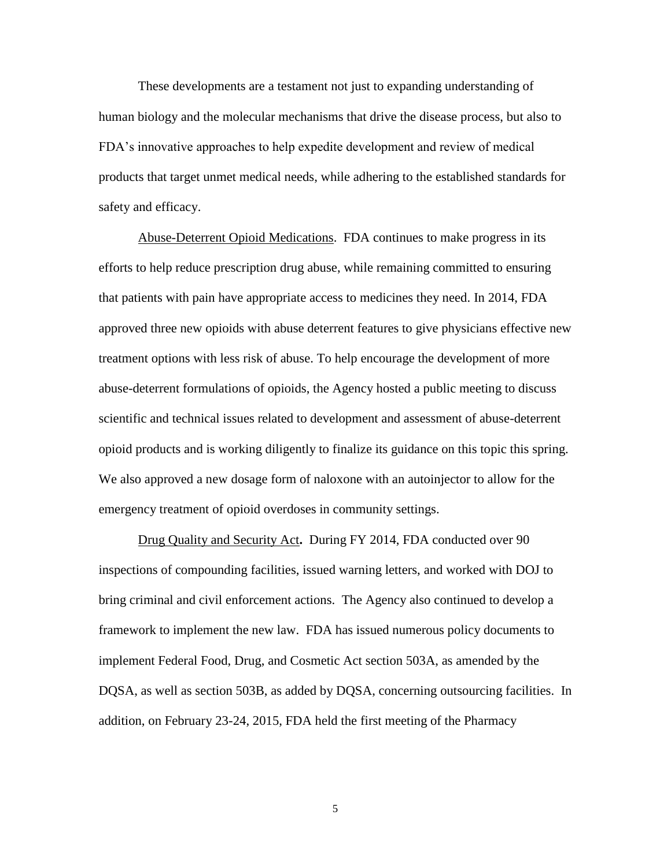These developments are a testament not just to expanding understanding of human biology and the molecular mechanisms that drive the disease process, but also to FDA's innovative approaches to help expedite development and review of medical products that target unmet medical needs, while adhering to the established standards for safety and efficacy.

Abuse-Deterrent Opioid Medications. FDA continues to make progress in its efforts to help reduce prescription drug abuse, while remaining committed to ensuring that patients with pain have appropriate access to medicines they need. In 2014, FDA approved three new opioids with abuse deterrent features to give physicians effective new treatment options with less risk of abuse. To help encourage the development of more abuse-deterrent formulations of opioids, the Agency hosted a public meeting to discuss scientific and technical issues related to development and assessment of abuse-deterrent opioid products and is working diligently to finalize its guidance on this topic this spring. We also approved a new dosage form of naloxone with an autoinjector to allow for the emergency treatment of opioid overdoses in community settings.

Drug Quality and Security Act**.** During FY 2014, FDA conducted over 90 inspections of compounding facilities, issued warning letters, and worked with DOJ to bring criminal and civil enforcement actions. The Agency also continued to develop a framework to implement the new law. FDA has issued numerous policy documents to implement Federal Food, Drug, and Cosmetic Act section 503A, as amended by the DQSA, as well as section 503B, as added by DQSA, concerning outsourcing facilities. In addition, on February 23-24, 2015, FDA held the first meeting of the Pharmacy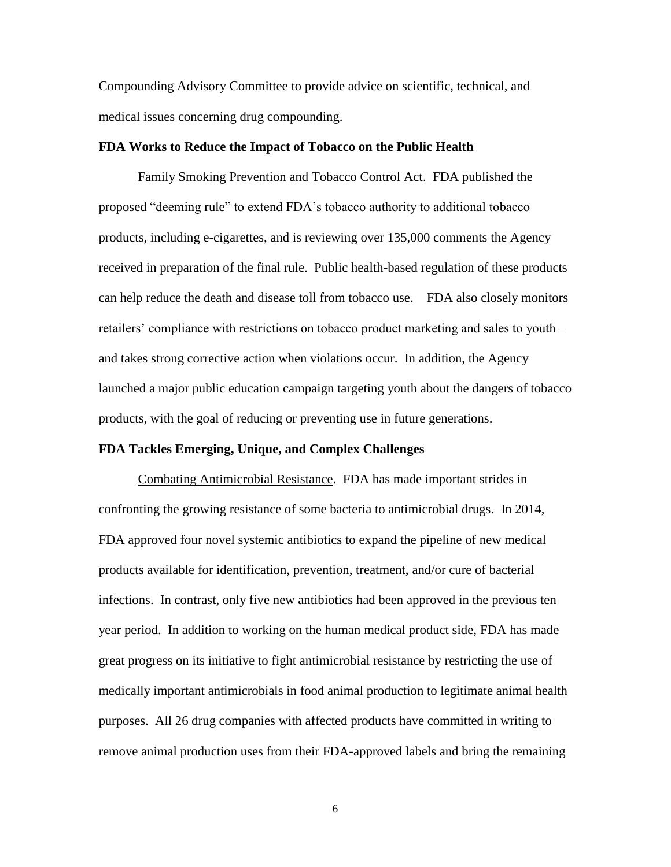Compounding Advisory Committee to provide advice on scientific, technical, and medical issues concerning drug compounding.

#### **FDA Works to Reduce the Impact of Tobacco on the Public Health**

Family Smoking Prevention and Tobacco Control Act.FDA published the proposed "deeming rule" to extend FDA's tobacco authority to additional tobacco products, including e-cigarettes, and is reviewing over 135,000 comments the Agency received in preparation of the final rule. Public health-based regulation of these products can help reduce the death and disease toll from tobacco use. FDA also closely monitors retailers' compliance with restrictions on tobacco product marketing and sales to youth – and takes strong corrective action when violations occur. In addition, the Agency launched a major public education campaign targeting youth about the dangers of tobacco products, with the goal of reducing or preventing use in future generations.

#### **FDA Tackles Emerging, Unique, and Complex Challenges**

Combating Antimicrobial Resistance. FDA has made important strides in confronting the growing resistance of some bacteria to antimicrobial drugs. In 2014, FDA approved four novel systemic antibiotics to expand the pipeline of new medical products available for identification, prevention, treatment, and/or cure of bacterial infections. In contrast, only five new antibiotics had been approved in the previous ten year period. In addition to working on the human medical product side, FDA has made great progress on its initiative to fight antimicrobial resistance by restricting the use of medically important antimicrobials in food animal production to legitimate animal health purposes. All 26 drug companies with affected products have committed in writing to remove animal production uses from their FDA-approved labels and bring the remaining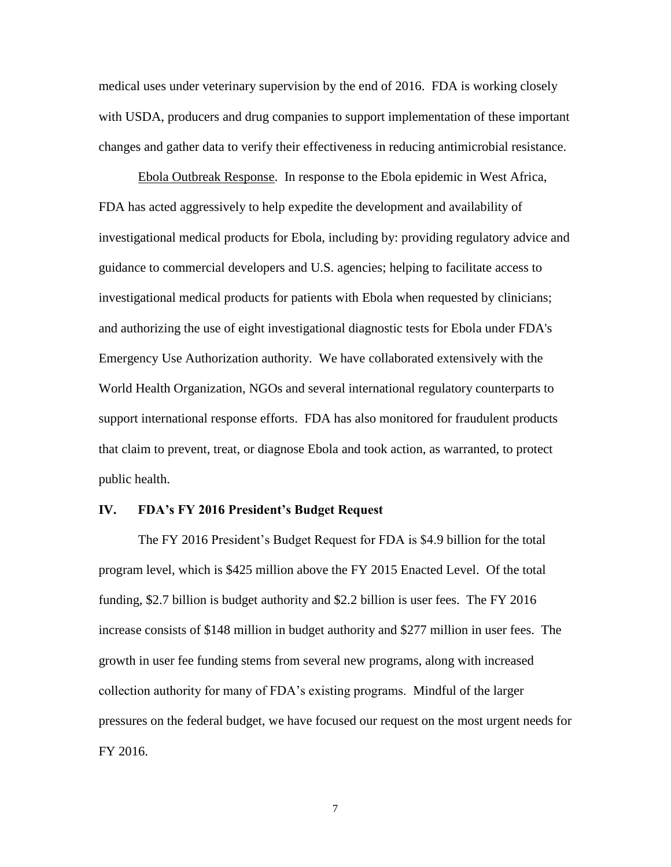medical uses under veterinary supervision by the end of 2016. FDA is working closely with USDA, producers and drug companies to support implementation of these important changes and gather data to verify their effectiveness in reducing antimicrobial resistance.

Ebola Outbreak Response. In response to the Ebola epidemic in West Africa, FDA has acted aggressively to help expedite the development and availability of investigational medical products for Ebola, including by: providing regulatory advice and guidance to commercial developers and U.S. agencies; helping to facilitate access to investigational medical products for patients with Ebola when requested by clinicians; and authorizing the use of eight investigational diagnostic tests for Ebola under FDA's Emergency Use Authorization authority. We have collaborated extensively with the World Health Organization, NGOs and several international regulatory counterparts to support international response efforts. FDA has also monitored for fraudulent products that claim to prevent, treat, or diagnose Ebola and took action, as warranted, to protect public health.

#### **IV. FDA's FY 2016 President's Budget Request**

The FY 2016 President's Budget Request for FDA is \$4.9 billion for the total program level, which is \$425 million above the FY 2015 Enacted Level. Of the total funding, \$2.7 billion is budget authority and \$2.2 billion is user fees. The FY 2016 increase consists of \$148 million in budget authority and \$277 million in user fees. The growth in user fee funding stems from several new programs, along with increased collection authority for many of FDA's existing programs. Mindful of the larger pressures on the federal budget, we have focused our request on the most urgent needs for FY 2016.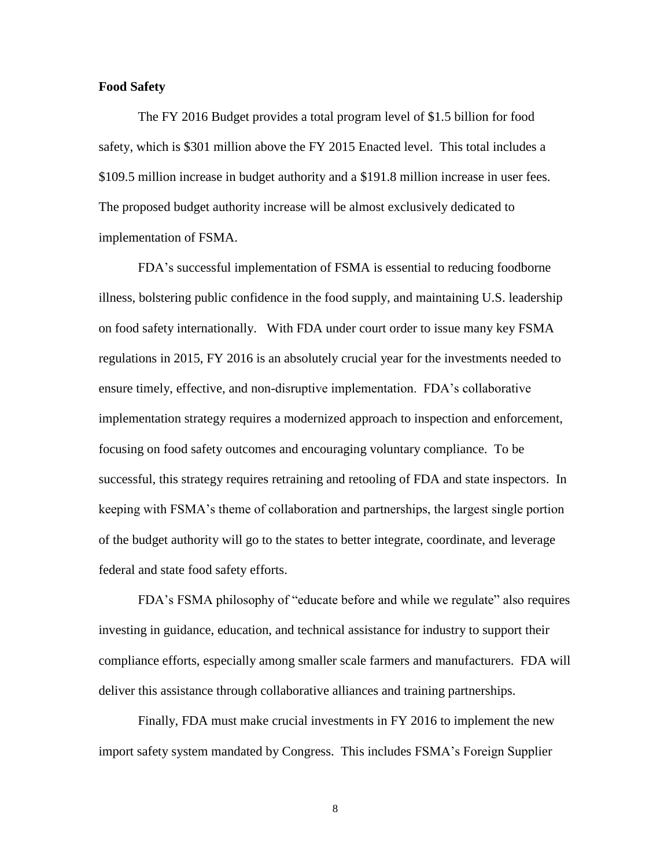#### **Food Safety**

The FY 2016 Budget provides a total program level of \$1.5 billion for food safety, which is \$301 million above the FY 2015 Enacted level. This total includes a \$109.5 million increase in budget authority and a \$191.8 million increase in user fees. The proposed budget authority increase will be almost exclusively dedicated to implementation of FSMA.

FDA's successful implementation of FSMA is essential to reducing foodborne illness, bolstering public confidence in the food supply, and maintaining U.S. leadership on food safety internationally. With FDA under court order to issue many key FSMA regulations in 2015, FY 2016 is an absolutely crucial year for the investments needed to ensure timely, effective, and non-disruptive implementation. FDA's collaborative implementation strategy requires a modernized approach to inspection and enforcement, focusing on food safety outcomes and encouraging voluntary compliance. To be successful, this strategy requires retraining and retooling of FDA and state inspectors. In keeping with FSMA's theme of collaboration and partnerships, the largest single portion of the budget authority will go to the states to better integrate, coordinate, and leverage federal and state food safety efforts.

FDA's FSMA philosophy of "educate before and while we regulate" also requires investing in guidance, education, and technical assistance for industry to support their compliance efforts, especially among smaller scale farmers and manufacturers. FDA will deliver this assistance through collaborative alliances and training partnerships.

Finally, FDA must make crucial investments in FY 2016 to implement the new import safety system mandated by Congress. This includes FSMA's Foreign Supplier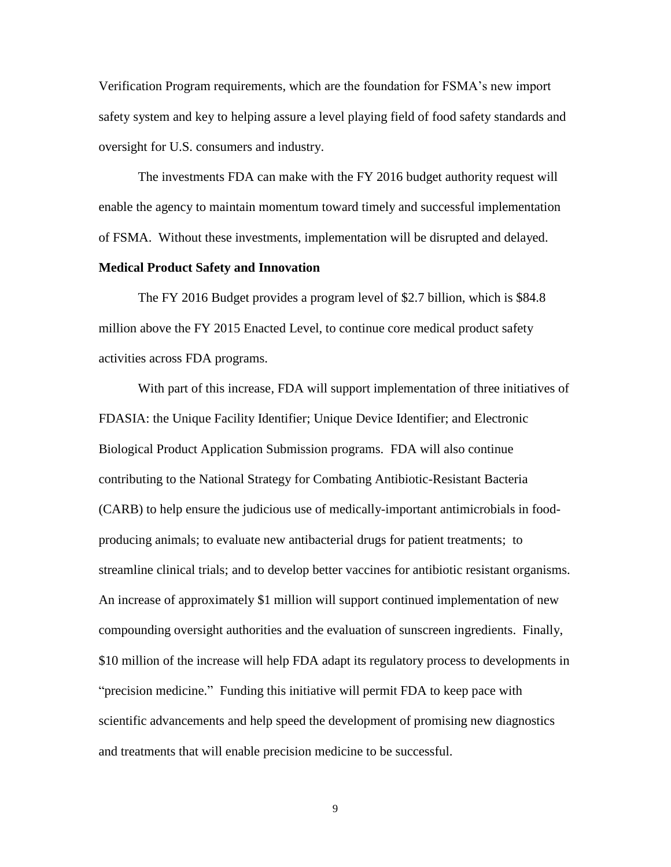Verification Program requirements, which are the foundation for FSMA's new import safety system and key to helping assure a level playing field of food safety standards and oversight for U.S. consumers and industry.

The investments FDA can make with the FY 2016 budget authority request will enable the agency to maintain momentum toward timely and successful implementation of FSMA. Without these investments, implementation will be disrupted and delayed.

#### **Medical Product Safety and Innovation**

The FY 2016 Budget provides a program level of \$2.7 billion, which is \$84.8 million above the FY 2015 Enacted Level, to continue core medical product safety activities across FDA programs.

With part of this increase, FDA will support implementation of three initiatives of FDASIA: the Unique Facility Identifier; Unique Device Identifier; and Electronic Biological Product Application Submission programs. FDA will also continue contributing to the National Strategy for Combating Antibiotic-Resistant Bacteria (CARB) to help ensure the judicious use of medically-important antimicrobials in foodproducing animals; to evaluate new antibacterial drugs for patient treatments; to streamline clinical trials; and to develop better vaccines for antibiotic resistant organisms. An increase of approximately \$1 million will support continued implementation of new compounding oversight authorities and the evaluation of sunscreen ingredients. Finally, \$10 million of the increase will help FDA adapt its regulatory process to developments in "precision medicine." Funding this initiative will permit FDA to keep pace with scientific advancements and help speed the development of promising new diagnostics and treatments that will enable precision medicine to be successful.